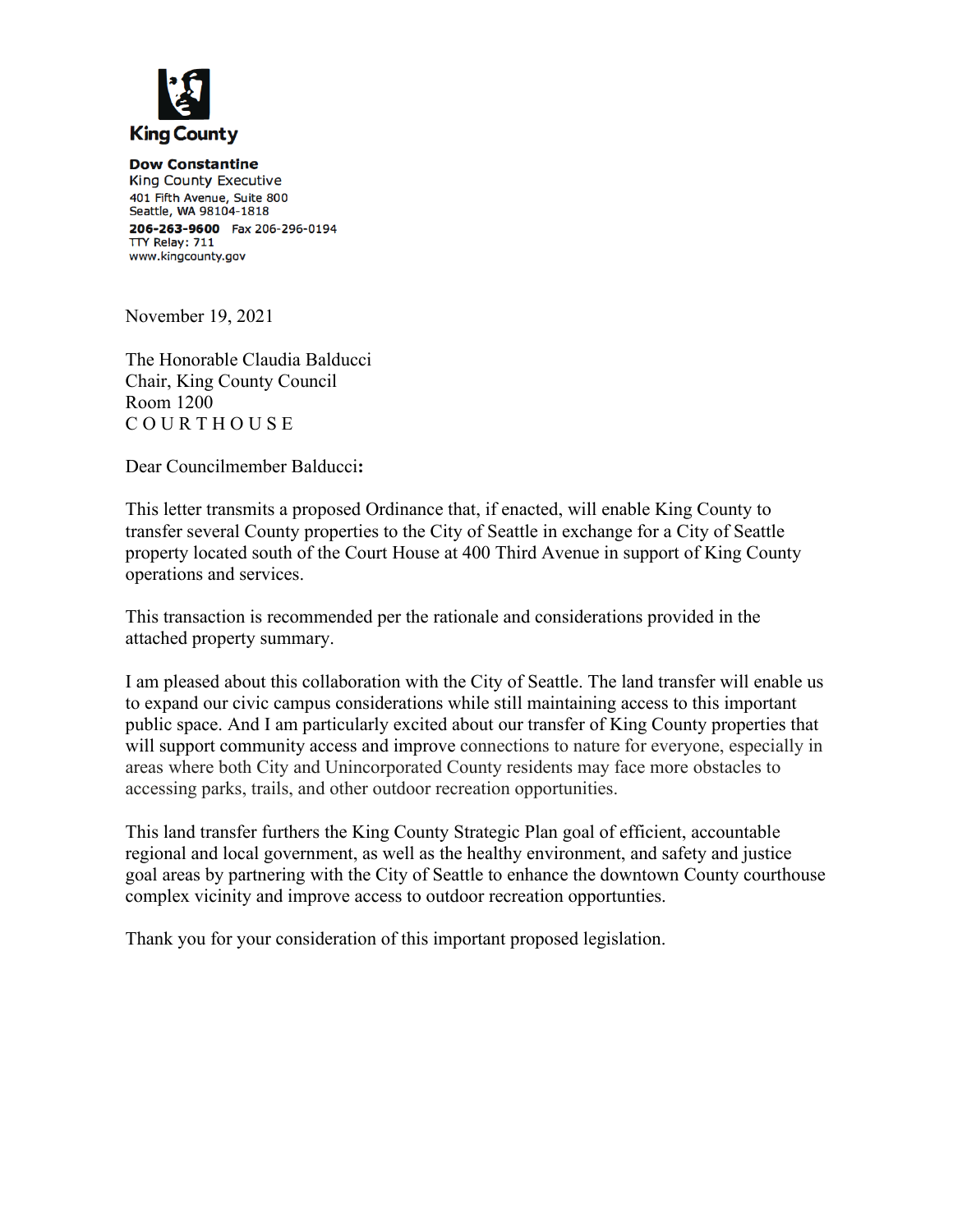

**Dow Constantine** King County Executive 401 Fifth Avenue, Suite 800 Seattle, WA 98104-1818 206-263-9600 Fax 206-296-0194 TTY Relay: 711 www.kingcounty.gov

November 19, 2021

The Honorable Claudia Balducci Chair, King County Council Room 1200 C O U R T H O U S E

Dear Councilmember Balducci**:**

This letter transmits a proposed Ordinance that, if enacted, will enable King County to transfer several County properties to the City of Seattle in exchange for a City of Seattle property located south of the Court House at 400 Third Avenue in support of King County operations and services.

This transaction is recommended per the rationale and considerations provided in the attached property summary.

I am pleased about this collaboration with the City of Seattle. The land transfer will enable us to expand our civic campus considerations while still maintaining access to this important public space. And I am particularly excited about our transfer of King County properties that will support community access and improve connections to nature for everyone, especially in areas where both City and Unincorporated County residents may face more obstacles to accessing parks, trails, and other outdoor recreation opportunities.

This land transfer furthers the King County Strategic Plan goal of efficient, accountable regional and local government, as well as the healthy environment, and safety and justice goal areas by partnering with the City of Seattle to enhance the downtown County courthouse complex vicinity and improve access to outdoor recreation opportunties.

Thank you for your consideration of this important proposed legislation.